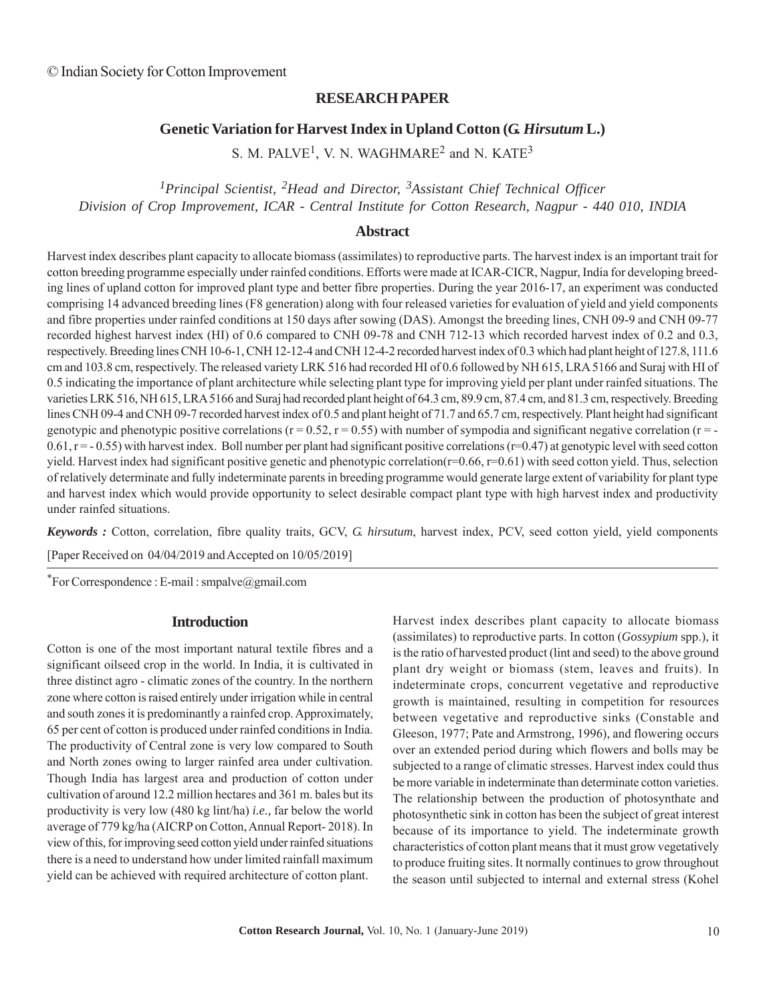### **RESEARCH PAPER**

# **Genetic Variation for Harvest Index in Upland Cotton (***G. Hirsutum* **L.)**

S. M. PALVE<sup>1</sup>, V. N. WAGHMARE<sup>2</sup> and N. KATE<sup>3</sup>

*1Principal Scientist, 2Head and Director, 3Assistant Chief Technical Officer Division of Crop Improvement, ICAR - Central Institute for Cotton Research, Nagpur - 440 010, INDIA*

#### **Abstract**

Harvest index describes plant capacity to allocate biomass (assimilates) to reproductive parts. The harvest index is an important trait for cotton breeding programme especially under rainfed conditions. Efforts were made at ICAR-CICR, Nagpur, India for developing breeding lines of upland cotton for improved plant type and better fibre properties. During the year 2016-17, an experiment was conducted comprising 14 advanced breeding lines (F8 generation) along with four released varieties for evaluation of yield and yield components and fibre properties under rainfed conditions at 150 days after sowing (DAS). Amongst the breeding lines, CNH 09-9 and CNH 09-77 recorded highest harvest index (HI) of 0.6 compared to CNH 09-78 and CNH 712-13 which recorded harvest index of 0.2 and 0.3, respectively. Breeding lines CNH 10-6-1, CNH 12-12-4 and CNH 12-4-2 recorded harvest index of 0.3 which had plant height of 127.8, 111.6 cm and 103.8 cm, respectively. The released variety LRK 516 had recorded HI of 0.6 followed by NH 615, LRA 5166 and Suraj with HI of 0.5 indicating the importance of plant architecture while selecting plant type for improving yield per plant under rainfed situations. The varieties LRK 516, NH 615, LRA 5166 and Suraj had recorded plant height of 64.3 cm, 89.9 cm, 87.4 cm, and 81.3 cm, respectively. Breeding lines CNH 09-4 and CNH 09-7 recorded harvest index of 0.5 and plant height of 71.7 and 65.7 cm, respectively. Plant height had significant genotypic and phenotypic positive correlations  $(r = 0.52, r = 0.55)$  with number of sympodia and significant negative correlation  $(r = -1.52, r = 0.55)$  $0.61$ , r = - 0.55) with harvest index. Boll number per plant had significant positive correlations (r=0.47) at genotypic level with seed cotton yield. Harvest index had significant positive genetic and phenotypic correlation( $r=0.66$ ,  $r=0.61$ ) with seed cotton yield. Thus, selection of relatively determinate and fully indeterminate parents in breeding programme would generate large extent of variability for plant type and harvest index which would provide opportunity to select desirable compact plant type with high harvest index and productivity under rainfed situations.

*Keywords :* Cotton, correlation, fibre quality traits, GCV, *G. hirsutum*, harvest index, PCV, seed cotton yield, yield components

[Paper Received on 04/04/2019 and Accepted on 10/05/2019]

\*For Correspondence : E-mail : smpalve@gmail.com

#### **Introduction**

Cotton is one of the most important natural textile fibres and a significant oilseed crop in the world. In India, it is cultivated in three distinct agro - climatic zones of the country. In the northern zone where cotton is raised entirely under irrigation while in central and south zones it is predominantly a rainfed crop. Approximately, 65 per cent of cotton is produced under rainfed conditions in India. The productivity of Central zone is very low compared to South and North zones owing to larger rainfed area under cultivation. Though India has largest area and production of cotton under cultivation of around 12.2 million hectares and 361 m. bales but its productivity is very low (480 kg lint/ha) *i.e.,* far below the world average of 779 kg/ha (AICRP on Cotton, Annual Report- 2018). In view of this, for improving seed cotton yield under rainfed situations there is a need to understand how under limited rainfall maximum yield can be achieved with required architecture of cotton plant.

Harvest index describes plant capacity to allocate biomass (assimilates) to reproductive parts. In cotton (*Gossypium* spp.), it is the ratio of harvested product (lint and seed) to the above ground plant dry weight or biomass (stem, leaves and fruits). In indeterminate crops, concurrent vegetative and reproductive growth is maintained, resulting in competition for resources between vegetative and reproductive sinks (Constable and Gleeson, 1977; Pate and Armstrong, 1996), and flowering occurs over an extended period during which flowers and bolls may be subjected to a range of climatic stresses. Harvest index could thus be more variable in indeterminate than determinate cotton varieties. The relationship between the production of photosynthate and photosynthetic sink in cotton has been the subject of great interest because of its importance to yield. The indeterminate growth characteristics of cotton plant means that it must grow vegetatively to produce fruiting sites. It normally continues to grow throughout the season until subjected to internal and external stress (Kohel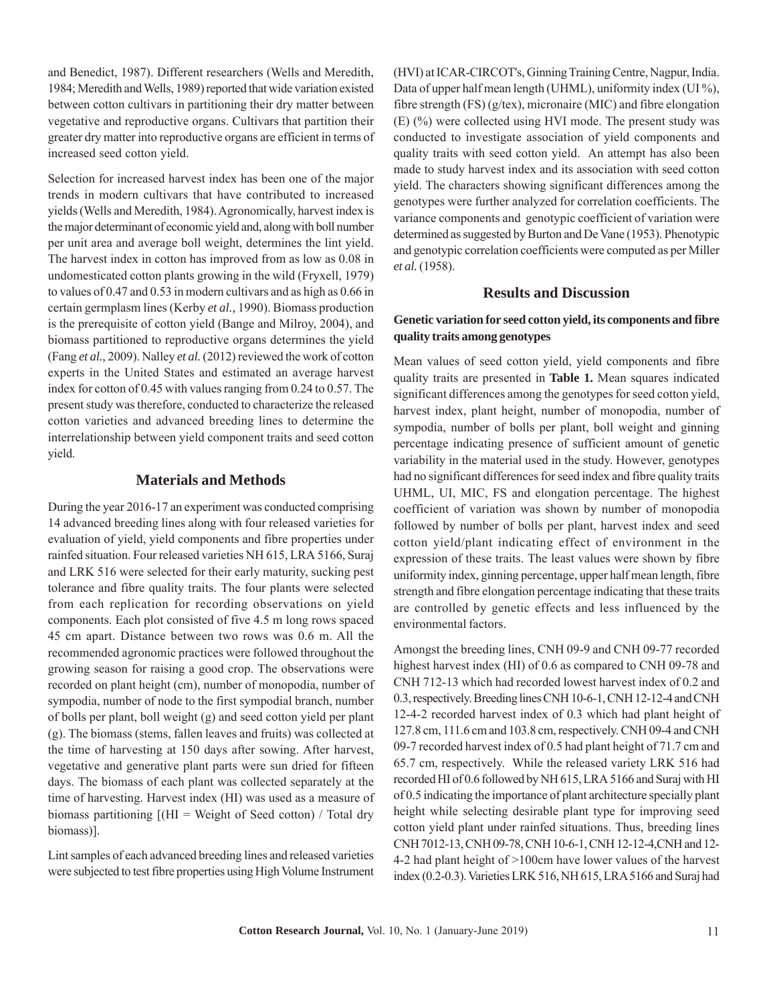and Benedict, 1987). Different researchers (Wells and Meredith, 1984; Meredith and Wells, 1989) reported that wide variation existed between cotton cultivars in partitioning their dry matter between vegetative and reproductive organs. Cultivars that partition their greater dry matter into reproductive organs are efficient in terms of increased seed cotton yield.

Selection for increased harvest index has been one of the major trends in modern cultivars that have contributed to increased yields (Wells and Meredith, 1984). Agronomically, harvest index is the major determinant of economic yield and, along with boll number per unit area and average boll weight, determines the lint yield. The harvest index in cotton has improved from as low as 0.08 in undomesticated cotton plants growing in the wild (Fryxell, 1979) to values of 0.47 and 0.53 in modern cultivars and as high as 0.66 in certain germplasm lines (Kerby *et al.,* 1990). Biomass production is the prerequisite of cotton yield (Bange and Milroy, 2004), and biomass partitioned to reproductive organs determines the yield (Fang *et al.,* 2009). Nalley *et al.* (2012) reviewed the work of cotton experts in the United States and estimated an average harvest index for cotton of 0.45 with values ranging from 0.24 to 0.57. The present study was therefore, conducted to characterize the released cotton varieties and advanced breeding lines to determine the interrelationship between yield component traits and seed cotton yield.

# **Materials and Methods**

During the year 2016-17 an experiment was conducted comprising 14 advanced breeding lines along with four released varieties for evaluation of yield, yield components and fibre properties under rainfed situation. Four released varieties NH 615, LRA 5166, Suraj and LRK 516 were selected for their early maturity, sucking pest tolerance and fibre quality traits. The four plants were selected from each replication for recording observations on yield components. Each plot consisted of five 4.5 m long rows spaced 45 cm apart. Distance between two rows was 0.6 m. All the recommended agronomic practices were followed throughout the growing season for raising a good crop. The observations were recorded on plant height (cm), number of monopodia, number of sympodia, number of node to the first sympodial branch, number of bolls per plant, boll weight (g) and seed cotton yield per plant (g). The biomass (stems, fallen leaves and fruits) was collected at the time of harvesting at 150 days after sowing. After harvest, vegetative and generative plant parts were sun dried for fifteen days. The biomass of each plant was collected separately at the time of harvesting. Harvest index (HI) was used as a measure of biomass partitioning  $[(\text{HI} = \text{Weight of }\text{Seed } \text{cottom}) / \text{Total } \text{dry}]$ biomass)].

Lint samples of each advanced breeding lines and released varieties were subjected to test fibre properties using High Volume Instrument

(HVI) at ICAR-CIRCOT's, Ginning Training Centre, Nagpur, India. Data of upper half mean length (UHML), uniformity index (UI %), fibre strength (FS) (g/tex), micronaire (MIC) and fibre elongation (E) (%) were collected using HVI mode. The present study was conducted to investigate association of yield components and quality traits with seed cotton yield. An attempt has also been made to study harvest index and its association with seed cotton yield. The characters showing significant differences among the genotypes were further analyzed for correlation coefficients. The variance components and genotypic coefficient of variation were determined as suggested by Burton and De Vane (1953). Phenotypic and genotypic correlation coefficients were computed as per Miller *et al.* (1958).

#### **Results and Discussion**

#### **Genetic variation for seed cotton yield, its components and fibre quality traits among genotypes**

Mean values of seed cotton yield, yield components and fibre quality traits are presented in **Table 1.** Mean squares indicated significant differences among the genotypes for seed cotton yield, harvest index, plant height, number of monopodia, number of sympodia, number of bolls per plant, boll weight and ginning percentage indicating presence of sufficient amount of genetic variability in the material used in the study. However, genotypes had no significant differences for seed index and fibre quality traits UHML, UI, MIC, FS and elongation percentage. The highest coefficient of variation was shown by number of monopodia followed by number of bolls per plant, harvest index and seed cotton yield/plant indicating effect of environment in the expression of these traits. The least values were shown by fibre uniformity index, ginning percentage, upper half mean length, fibre strength and fibre elongation percentage indicating that these traits are controlled by genetic effects and less influenced by the environmental factors.

Amongst the breeding lines, CNH 09-9 and CNH 09-77 recorded highest harvest index (HI) of 0.6 as compared to CNH 09-78 and CNH 712-13 which had recorded lowest harvest index of 0.2 and 0.3, respectively. Breeding lines CNH 10-6-1, CNH 12-12-4 and CNH 12-4-2 recorded harvest index of 0.3 which had plant height of 127.8 cm, 111.6 cm and 103.8 cm, respectively. CNH 09-4 and CNH 09-7 recorded harvest index of 0.5 had plant height of 71.7 cm and 65.7 cm, respectively. While the released variety LRK 516 had recorded HI of 0.6 followed by NH 615, LRA 5166 and Suraj with HI of 0.5 indicating the importance of plant architecture specially plant height while selecting desirable plant type for improving seed cotton yield plant under rainfed situations. Thus, breeding lines CNH 7012-13, CNH 09-78, CNH 10-6-1, CNH 12-12-4,CNH and 12- 4-2 had plant height of >100cm have lower values of the harvest index (0.2-0.3). Varieties LRK 516, NH 615, LRA 5166 and Suraj had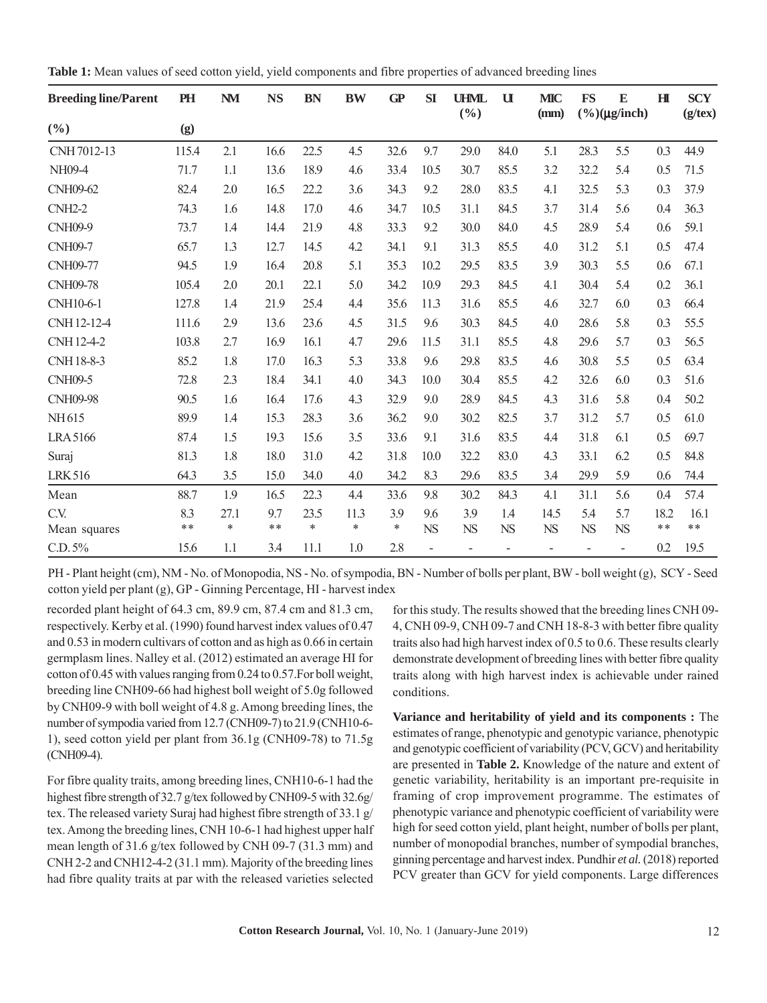| <b>Breeding line/Parent</b> | PH    | <b>NM</b> | <b>NS</b> | <b>BN</b> | <b>BW</b> | GP     | SI        | <b>UHML</b><br>(9/0) | $\mathbf u$                  | <b>MIC</b><br>(mm)       | <b>FS</b>      | E<br>$(\%)(\mu g/inch)$      | H     | <b>SCY</b><br>$(g$ /tex $)$ |
|-----------------------------|-------|-----------|-----------|-----------|-----------|--------|-----------|----------------------|------------------------------|--------------------------|----------------|------------------------------|-------|-----------------------------|
| (%)                         | (g)   |           |           |           |           |        |           |                      |                              |                          |                |                              |       |                             |
| CNH 7012-13                 | 115.4 | 2.1       | 16.6      | 22.5      | 4.5       | 32.6   | 9.7       | 29.0                 | 84.0                         | 5.1                      | 28.3           | 5.5                          | 0.3   | 44.9                        |
| NH09-4                      | 71.7  | 1.1       | 13.6      | 18.9      | 4.6       | 33.4   | 10.5      | 30.7                 | 85.5                         | 3.2                      | 32.2           | 5.4                          | 0.5   | 71.5                        |
| <b>CNH09-62</b>             | 82.4  | 2.0       | 16.5      | 22.2      | 3.6       | 34.3   | 9.2       | 28.0                 | 83.5                         | 4.1                      | 32.5           | 5.3                          | 0.3   | 37.9                        |
| $CNH2-2$                    | 74.3  | 1.6       | 14.8      | 17.0      | 4.6       | 34.7   | 10.5      | 31.1                 | 84.5                         | 3.7                      | 31.4           | 5.6                          | 0.4   | 36.3                        |
| <b>CNH09-9</b>              | 73.7  | 1.4       | 14.4      | 21.9      | 4.8       | 33.3   | 9.2       | 30.0                 | 84.0                         | 4.5                      | 28.9           | 5.4                          | 0.6   | 59.1                        |
| <b>CNH09-7</b>              | 65.7  | 1.3       | 12.7      | 14.5      | 4.2       | 34.1   | 9.1       | 31.3                 | 85.5                         | 4.0                      | 31.2           | 5.1                          | 0.5   | 47.4                        |
| <b>CNH09-77</b>             | 94.5  | 1.9       | 16.4      | 20.8      | 5.1       | 35.3   | 10.2      | 29.5                 | 83.5                         | 3.9                      | 30.3           | 5.5                          | 0.6   | 67.1                        |
| <b>CNH09-78</b>             | 105.4 | 2.0       | 20.1      | 22.1      | 5.0       | 34.2   | 10.9      | 29.3                 | 84.5                         | 4.1                      | 30.4           | 5.4                          | 0.2   | 36.1                        |
| CNH10-6-1                   | 127.8 | 1.4       | 21.9      | 25.4      | 4.4       | 35.6   | 11.3      | 31.6                 | 85.5                         | 4.6                      | 32.7           | 6.0                          | 0.3   | 66.4                        |
| CNH12-12-4                  | 111.6 | 2.9       | 13.6      | 23.6      | 4.5       | 31.5   | 9.6       | 30.3                 | 84.5                         | 4.0                      | 28.6           | 5.8                          | 0.3   | 55.5                        |
| CNH12-4-2                   | 103.8 | 2.7       | 16.9      | 16.1      | 4.7       | 29.6   | 11.5      | 31.1                 | 85.5                         | 4.8                      | 29.6           | 5.7                          | 0.3   | 56.5                        |
| CNH 18-8-3                  | 85.2  | 1.8       | 17.0      | 16.3      | 5.3       | 33.8   | 9.6       | 29.8                 | 83.5                         | 4.6                      | 30.8           | 5.5                          | 0.5   | 63.4                        |
| <b>CNH09-5</b>              | 72.8  | 2.3       | 18.4      | 34.1      | 4.0       | 34.3   | 10.0      | 30.4                 | 85.5                         | 4.2                      | 32.6           | 6.0                          | 0.3   | 51.6                        |
| <b>CNH09-98</b>             | 90.5  | 1.6       | 16.4      | 17.6      | 4.3       | 32.9   | 9.0       | 28.9                 | 84.5                         | 4.3                      | 31.6           | 5.8                          | 0.4   | 50.2                        |
| NH615                       | 89.9  | 1.4       | 15.3      | 28.3      | 3.6       | 36.2   | 9.0       | 30.2                 | 82.5                         | 3.7                      | 31.2           | 5.7                          | 0.5   | 61.0                        |
| <b>LRA5166</b>              | 87.4  | 1.5       | 19.3      | 15.6      | 3.5       | 33.6   | 9.1       | 31.6                 | 83.5                         | 4.4                      | 31.8           | 6.1                          | 0.5   | 69.7                        |
| Suraj                       | 81.3  | 1.8       | 18.0      | 31.0      | 4.2       | 31.8   | 10.0      | 32.2                 | 83.0                         | 4.3                      | 33.1           | 6.2                          | 0.5   | 84.8                        |
| <b>LRK516</b>               | 64.3  | 3.5       | 15.0      | 34.0      | 4.0       | 34.2   | 8.3       | 29.6                 | 83.5                         | 3.4                      | 29.9           | 5.9                          | 0.6   | 74.4                        |
| Mean                        | 88.7  | 1.9       | 16.5      | 22.3      | 4.4       | 33.6   | 9.8       | 30.2                 | 84.3                         | 4.1                      | 31.1           | 5.6                          | 0.4   | 57.4                        |
| C.V.                        | 8.3   | 27.1      | 9.7       | 23.5      | 11.3      | 3.9    | 9.6       | 3.9                  | 1.4                          | 14.5                     | 5.4            | 5.7                          | 18.2  | 16.1                        |
| Mean squares                | $***$ | $\ast$    | $**$      | *         | $\ast$    | $\ast$ | <b>NS</b> | <b>NS</b>            | <b>NS</b>                    | ${\rm NS}$               | <b>NS</b>      | <b>NS</b>                    | $***$ | $* *$                       |
| C.D. 5%                     | 15.6  | 1.1       | 3.4       | 11.1      | 1.0       | 2.8    |           | $\overline{a}$       | $\qquad \qquad \blacksquare$ | $\overline{\phantom{a}}$ | $\overline{a}$ | $\qquad \qquad \blacksquare$ | 0.2   | 19.5                        |

**Table 1:** Mean values of seed cotton yield, yield components and fibre properties of advanced breeding lines

PH - Plant height (cm), NM - No. of Monopodia, NS - No. of sympodia, BN - Number of bolls per plant, BW - boll weight (g), SCY - Seed cotton yield per plant (g), GP - Ginning Percentage, HI - harvest index

recorded plant height of 64.3 cm, 89.9 cm, 87.4 cm and 81.3 cm, respectively. Kerby et al. (1990) found harvest index values of 0.47 and 0.53 in modern cultivars of cotton and as high as 0.66 in certain germplasm lines. Nalley et al. (2012) estimated an average HI for cotton of 0.45 with values ranging from 0.24 to 0.57.For boll weight, breeding line CNH09-66 had highest boll weight of 5.0g followed by CNH09-9 with boll weight of 4.8 g. Among breeding lines, the number of sympodia varied from 12.7 (CNH09-7) to 21.9 (CNH10-6- 1), seed cotton yield per plant from 36.1g (CNH09-78) to 71.5g (CNH09-4).

For fibre quality traits, among breeding lines, CNH10-6-1 had the highest fibre strength of 32.7 g/tex followed by CNH09-5 with 32.6g/ tex. The released variety Suraj had highest fibre strength of 33.1 g/ tex. Among the breeding lines, CNH 10-6-1 had highest upper half mean length of 31.6 g/tex followed by CNH 09-7 (31.3 mm) and CNH 2-2 and CNH12-4-2 (31.1 mm). Majority of the breeding lines had fibre quality traits at par with the released varieties selected

for this study. The results showed that the breeding lines CNH 09- 4, CNH 09-9, CNH 09-7 and CNH 18-8-3 with better fibre quality traits also had high harvest index of 0.5 to 0.6. These results clearly demonstrate development of breeding lines with better fibre quality traits along with high harvest index is achievable under rained conditions.

**Variance and heritability of yield and its components :** The estimates of range, phenotypic and genotypic variance, phenotypic and genotypic coefficient of variability (PCV, GCV) and heritability are presented in **Table 2.** Knowledge of the nature and extent of genetic variability, heritability is an important pre-requisite in framing of crop improvement programme. The estimates of phenotypic variance and phenotypic coefficient of variability were high for seed cotton yield, plant height, number of bolls per plant, number of monopodial branches, number of sympodial branches, ginning percentage and harvest index. Pundhir *et al.* (2018) reported PCV greater than GCV for yield components. Large differences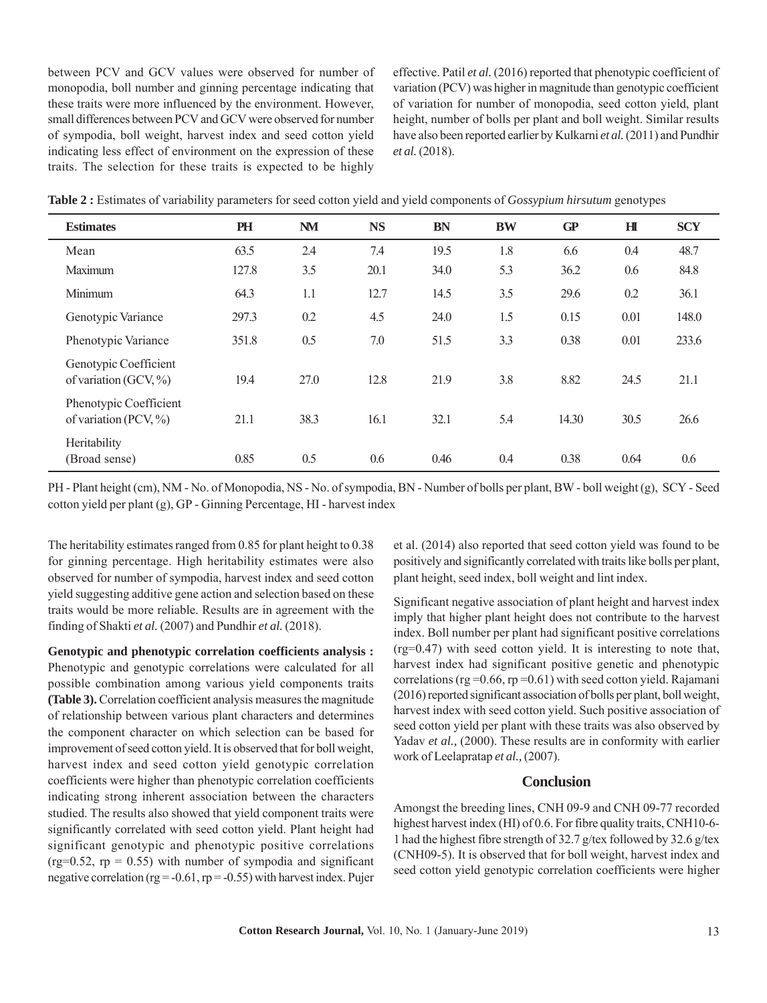between PCV and GCV values were observed for number of monopodia, boll number and ginning percentage indicating that these traits were more influenced by the environment. However, small differences between PCV and GCV were observed for number of sympodia, boll weight, harvest index and seed cotton yield indicating less effect of environment on the expression of these traits. The selection for these traits is expected to be highly

effective. Patil *et al.* (2016) reported that phenotypic coefficient of variation (PCV) was higher in magnitude than genotypic coefficient of variation for number of monopodia, seed cotton yield, plant height, number of bolls per plant and boll weight. Similar results have also been reported earlier by Kulkarni *et al.* (2011) and Pundhir *et al.* (2018).

| <b>Estimates</b>                                    | PH    | <b>NM</b> | <b>NS</b> | <b>BN</b> | <b>BW</b> | GP    | H    | <b>SCY</b> |  |
|-----------------------------------------------------|-------|-----------|-----------|-----------|-----------|-------|------|------------|--|
| Mean                                                | 63.5  | 2.4       | 7.4       | 19.5      | 1.8       | 6.6   | 0.4  | 48.7       |  |
| Maximum                                             | 127.8 | 3.5       | 20.1      | 34.0      | 5.3       | 36.2  | 0.6  | 84.8       |  |
| Minimum                                             | 64.3  | 1.1       | 12.7      | 14.5      | 3.5       | 29.6  | 0.2  | 36.1       |  |
| Genotypic Variance                                  | 297.3 | 0.2       | 4.5       | 24.0      | 1.5       | 0.15  | 0.01 | 148.0      |  |
| Phenotypic Variance                                 | 351.8 | 0.5       | 7.0       | 51.5      | 3.3       | 0.38  | 0.01 | 233.6      |  |
| Genotypic Coefficient<br>of variation (GCV, $\%$ )  | 19.4  | 27.0      | 12.8      | 21.9      | 3.8       | 8.82  | 24.5 | 21.1       |  |
| Phenotypic Coefficient<br>of variation (PCV, $\%$ ) | 21.1  | 38.3      | 16.1      | 32.1      | 5.4       | 14.30 | 30.5 | 26.6       |  |
| Heritability<br>(Broad sense)                       | 0.85  | 0.5       | 0.6       | 0.46      | 0.4       | 0.38  | 0.64 | 0.6        |  |

**Table 2 :** Estimates of variability parameters for seed cotton yield and yield components of *Gossypium hirsutum* genotypes

PH - Plant height (cm), NM - No. of Monopodia, NS - No. of sympodia, BN - Number of bolls per plant, BW - boll weight (g), SCY - Seed cotton yield per plant (g), GP - Ginning Percentage, HI - harvest index

The heritability estimates ranged from 0.85 for plant height to 0.38 for ginning percentage. High heritability estimates were also observed for number of sympodia, harvest index and seed cotton yield suggesting additive gene action and selection based on these traits would be more reliable. Results are in agreement with the finding of Shakti *et al.* (2007) and Pundhir *et al.* (2018).

**Genotypic and phenotypic correlation coefficients analysis :** Phenotypic and genotypic correlations were calculated for all possible combination among various yield components traits **(Table 3).** Correlation coefficient analysis measures the magnitude of relationship between various plant characters and determines the component character on which selection can be based for improvement of seed cotton yield. It is observed that for boll weight, harvest index and seed cotton yield genotypic correlation coefficients were higher than phenotypic correlation coefficients indicating strong inherent association between the characters studied. The results also showed that yield component traits were significantly correlated with seed cotton yield. Plant height had significant genotypic and phenotypic positive correlations (rg= $0.52$ , rp = 0.55) with number of sympodia and significant negative correlation ( $rg = -0.61$ ,  $rp = -0.55$ ) with harvest index. Pujer et al. (2014) also reported that seed cotton yield was found to be positively and significantly correlated with traits like bolls per plant, plant height, seed index, boll weight and lint index.

Significant negative association of plant height and harvest index imply that higher plant height does not contribute to the harvest index. Boll number per plant had significant positive correlations (rg=0.47) with seed cotton yield. It is interesting to note that, harvest index had significant positive genetic and phenotypic correlations ( $rg = 0.66$ ,  $rp = 0.61$ ) with seed cotton yield. Rajamani (2016) reported significant association of bolls per plant, boll weight, harvest index with seed cotton yield. Such positive association of seed cotton yield per plant with these traits was also observed by Yadav *et al.*, (2000). These results are in conformity with earlier work of Leelapratap *et al.,* (2007).

# **Conclusion**

Amongst the breeding lines, CNH 09-9 and CNH 09-77 recorded highest harvest index (HI) of 0.6. For fibre quality traits, CNH10-6- 1 had the highest fibre strength of 32.7 g/tex followed by 32.6 g/tex (CNH09-5). It is observed that for boll weight, harvest index and seed cotton yield genotypic correlation coefficients were higher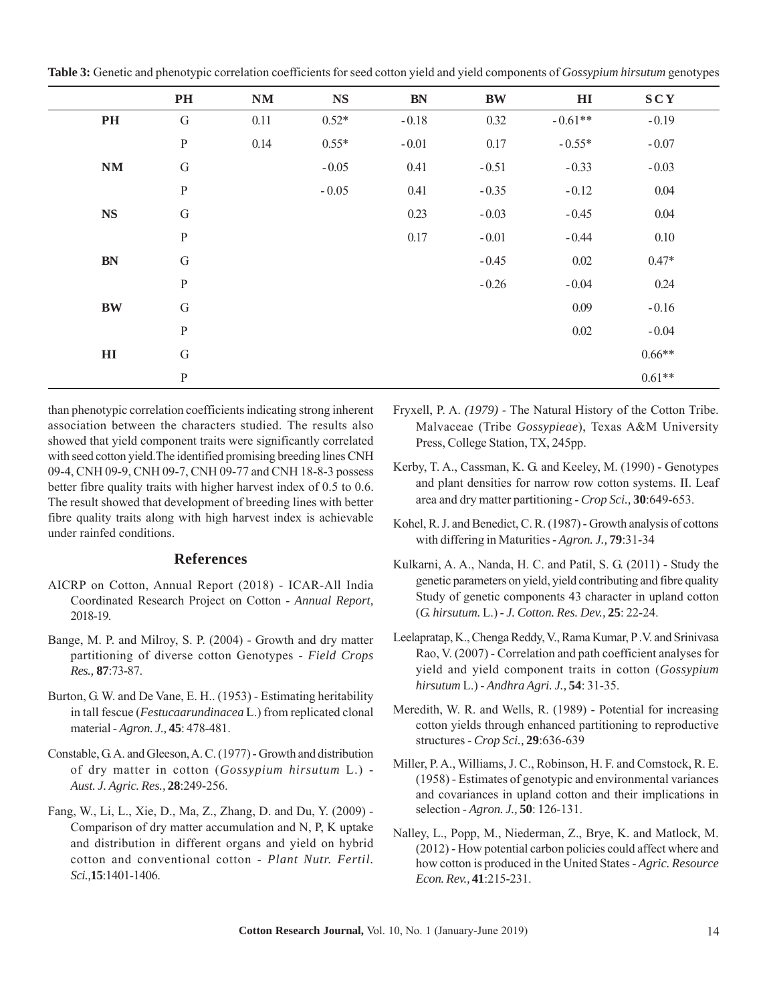| Table 3: Genetic and phenotypic correlation coefficients for seed cotton yield and yield components of Gossypium hirsutum genotypes |  |  |  |
|-------------------------------------------------------------------------------------------------------------------------------------|--|--|--|
|                                                                                                                                     |  |  |  |

|               | PH           | NM   | <b>NS</b> | $BN$    | <b>BW</b> | $\mathbf{H}\mathbf{I}$ | <b>SCY</b> |  |
|---------------|--------------|------|-----------|---------|-----------|------------------------|------------|--|
| PH            | ${\bf G}$    | 0.11 | $0.52*$   | $-0.18$ | 0.32      | $-0.61**$              | $-0.19$    |  |
|               | $\, {\bf p}$ | 0.14 | $0.55*$   | $-0.01$ | 0.17      | $-0.55*$               | $-0.07$    |  |
| NM            | ${\bf G}$    |      | $-0.05$   | 0.41    | $-0.51$   | $-0.33$                | $-0.03$    |  |
|               | $\, {\bf P}$ |      | $-0.05$   | 0.41    | $-0.35$   | $-0.12$                | 0.04       |  |
| $\mathbf{NS}$ | ${\bf G}$    |      |           | 0.23    | $-0.03$   | $-0.45$                | 0.04       |  |
|               | ${\bf P}$    |      |           | 0.17    | $-0.01$   | $-0.44$                | 0.10       |  |
| <b>BN</b>     | ${\bf G}$    |      |           |         | $-0.45$   | 0.02                   | $0.47*$    |  |
|               | $\, {\bf p}$ |      |           |         | $-0.26$   | $-0.04$                | 0.24       |  |
| <b>BW</b>     | $\mathbf G$  |      |           |         |           | 0.09                   | $-0.16$    |  |
|               | ${\bf P}$    |      |           |         |           | $0.02\,$               | $-0.04$    |  |
| $\mathbf{H}$  | ${\bf G}$    |      |           |         |           |                        | $0.66**$   |  |
|               | $\, {\bf P}$ |      |           |         |           |                        | $0.61**$   |  |

than phenotypic correlation coefficients indicating strong inherent association between the characters studied. The results also showed that yield component traits were significantly correlated with seed cotton yield.The identified promising breeding lines CNH 09-4, CNH 09-9, CNH 09-7, CNH 09-77 and CNH 18-8-3 possess better fibre quality traits with higher harvest index of 0.5 to 0.6. The result showed that development of breeding lines with better fibre quality traits along with high harvest index is achievable under rainfed conditions.

#### **References**

- AICRP on Cotton, Annual Report (2018) ICAR-All India Coordinated Research Project on Cotton - *Annual Report,* 2018-19.
- Bange, M. P. and Milroy, S. P. (2004) Growth and dry matter partitioning of diverse cotton Genotypes - *Field Crops Res.,* **87**:73-87.
- Burton, G. W. and De Vane, E. H.. (1953) Estimating heritability in tall fescue (*Festucaarundinacea* L.) from replicated clonal material - *Agron. J.,* **45**: 478-481.
- Constable, G. A. and Gleeson, A. C. (1977) Growth and distribution of dry matter in cotton (*Gossypium hirsutum* L.) - *Aust. J. Agric. Res.,* **28**:249-256.
- Fang, W., Li, L., Xie, D., Ma, Z., Zhang, D. and Du, Y. (2009) Comparison of dry matter accumulation and N, P, K uptake and distribution in different organs and yield on hybrid cotton and conventional cotton - *Plant Nutr. Fertil. Sci.,***15**:1401-1406.
- Fryxell, P. A. *(1979)* The Natural History of the Cotton Tribe. Malvaceae (Tribe *Gossypieae*), Texas A&M University Press, College Station, TX, 245pp.
- Kerby, T. A., Cassman, K. G. and Keeley, M. (1990) Genotypes and plant densities for narrow row cotton systems. II. Leaf area and dry matter partitioning - *Crop Sci.,* **30**:649-653.
- Kohel, R. J. and Benedict, C. R. (1987) Growth analysis of cottons with differing in Maturities - *Agron. J.,* **79**:31-34
- Kulkarni, A. A., Nanda, H. C. and Patil, S. G. (2011) Study the genetic parameters on yield, yield contributing and fibre quality Study of genetic components 43 character in upland cotton (*G. hirsutum.* L.) - *J. Cotton. Res. Dev.,* **25**: 22-24.
- Leelapratap, K., Chenga Reddy, V., Rama Kumar, P .V. and Srinivasa Rao, V. (2007) - Correlation and path coefficient analyses for yield and yield component traits in cotton (*Gossypium hirsutum* L.) - *Andhra Agri. J.,* **54**: 31-35.
- Meredith, W. R. and Wells, R. (1989) Potential for increasing cotton yields through enhanced partitioning to reproductive structures - *Crop Sci.,* **29**:636-639
- Miller, P. A., Williams, J. C., Robinson, H. F. and Comstock, R. E. (1958) - Estimates of genotypic and environmental variances and covariances in upland cotton and their implications in selection - *Agron. J.,* **50**: 126-131.
- Nalley, L., Popp, M., Niederman, Z., Brye, K. and Matlock, M. (2012) - How potential carbon policies could affect where and how cotton is produced in the United States - *Agric. Resource Econ. Rev.,* **41**:215-231.